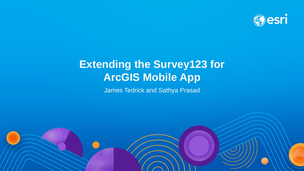

# **Extending the Survey123 for ArcGIS Mobile App**

James Tedrick and Sathya Prasad

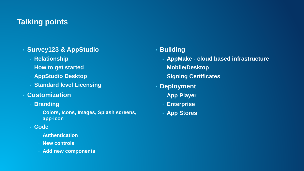## **Talking points**

- **Survey123 & AppStudio**
	- **Relationship**
	- **How to get started**
	- **AppStudio Desktop**
	- **Standard level Licensing**
- **Customization**
	- **Branding** 
		- **Colors, Icons, Images, Splash screens, app-icon**
	- **Code**
		- **Authentication**
		- **New controls**
		- **Add new components**

## • **Building**

- **AppMake - cloud based infrastructure**
- **Mobile/Desktop**
- **Signing Certificates**
- **Deployment**
	- **App Player**
	- **Enterprise**
	- **App Stores**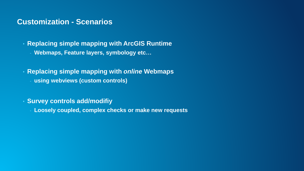## **Customization - Scenarios**

• **Replacing simple mapping with ArcGIS Runtime** - **Webmaps, Feature layers, symbology etc…**

• **Replacing simple mapping with** *online* **Webmaps** - **using webviews (custom controls)**

• **Survey controls add/modifiy**

- **Loosely coupled, complex checks or make new requests**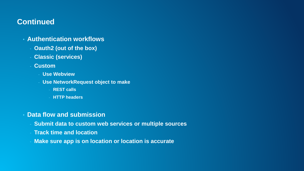## **Continued**

- **Authentication workflows**
	- **Oauth2 (out of the box)**
	- **Classic (services)**
	- **Custom** 
		- **Use Webview**
		- **Use NetworkRequest object to make** 
			- **REST calls**
			- **HTTP headers**
- **Data flow and submission**
	- **Submit data to custom web services or multiple sources**
	- **Track time and location**
	- **Make sure app is on location or location is accurate**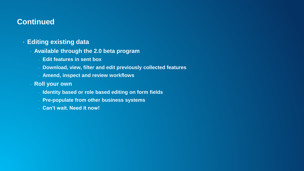## **Continued**

#### • **Editing existing data**

- **Available through the 2.0 beta program**
	- **Edit features in sent box**
	- **Download, view, filter and edit previously collected features**
	- **Amend, inspect and review workflows**
- **Roll your own**
	- **Identity based or role based editing on form fields**
	- **Pre-populate from other business systems**
	- **Can't wait. Need it now!**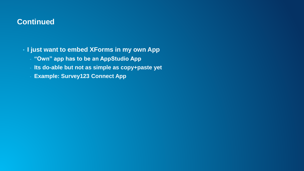## **Continued**

• **I just want to embed XForms in my own App**

- **"Own" app has to be an AppStudio App**
- **Its do-able but not as simple as copy+paste yet**
- **Example: Survey123 Connect App**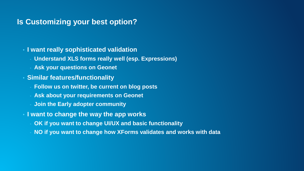## **Is Customizing your best option?**

- **I want really sophisticated validation**
	- **Understand XLS forms really well (esp. Expressions)**
	- **Ask your questions on Geonet**
- **Similar features/functionality**
	- **Follow us on twitter, be current on blog posts**
	- **Ask about your requirements on Geonet**
	- **Join the Early adopter community**
- **I want to change the way the app works**
	- **OK if you want to change UI/UX and basic functionality**
	- **NO if you want to change how XForms validates and works with data**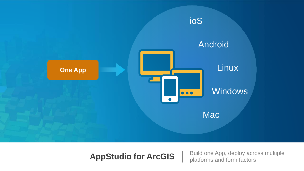

**AppStudio for ArcGIS** | Build one App, deploy across multiple platforms and form factors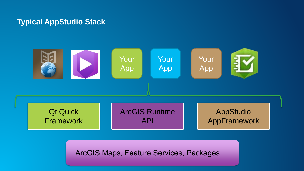## **Typical AppStudio Stack**



ArcGIS Maps, Feature Services, Packages …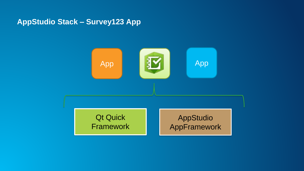**AppStudio Stack – Survey123 App**

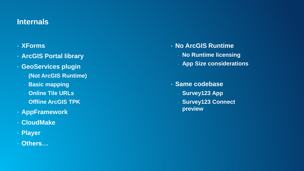## **Internals**

## • **XForms**

- **ArcGIS Portal library**
- **GeoServices plugin**
	- **(Not ArcGIS Runtime)**
	- **Basic mapping**
	- **Online Tile URLs**
	- **Offline ArcGIS TPK**
- **AppFramework**
- **CloudMake**
- **Player**

#### • **Others…**

- **No ArcGIS Runtime**
	- **No Runtime licensing**
	- **App Size considerations**

#### • **Same codebase**

- **Survey123 App**
- **Survey123 Connect preview**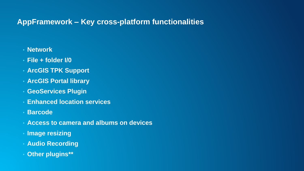## **AppFramework – Key cross-platform functionalities**

- **Network**
- **File + folder I/0**
- **ArcGIS TPK Support**
- **ArcGIS Portal library**
- **GeoServices Plugin**
- **Enhanced location services**
- **Barcode**
- **Access to camera and albums on devices**
- **Image resizing**
- **Audio Recording**
- **Other plugins\*\***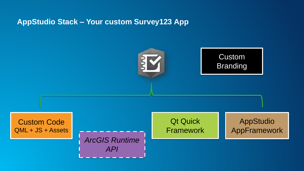## **AppStudio Stack – Your custom Survey123 App**

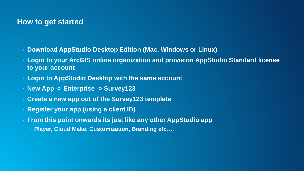### **How to get started**

- **Download AppStudio Desktop Edition (Mac, Windows or Linux)**
- **Login to your ArcGIS online organization and provision AppStudio Standard license to your account**
- **Login to AppStudio Desktop with the same account**
- **New App -> Enterprise -> Survey123**
- **Create a new app out of the Survey123 template**
- **Register your app (using a client ID)**
- **From this point onwards its just like any other AppStudio app**
	- **Player, Cloud Make, Customization, Branding etc….**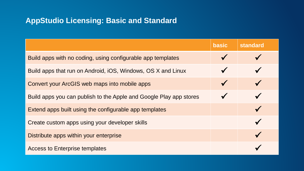## **AppStudio Licensing: Basic and Standard**

|                                                                    | <b>basic</b> | <b>standard</b> |
|--------------------------------------------------------------------|--------------|-----------------|
| Build apps with no coding, using configurable app templates        |              |                 |
| Build apps that run on Android, iOS, Windows, OS X and Linux       |              |                 |
| Convert your ArcGIS web maps into mobile apps                      | V            |                 |
| Build apps you can publish to the Apple and Google Play app stores |              |                 |
| Extend apps built using the configurable app templates             |              |                 |
| Create custom apps using your developer skills                     |              |                 |
| Distribute apps within your enterprise                             |              |                 |
| <b>Access to Enterprise templates</b>                              |              |                 |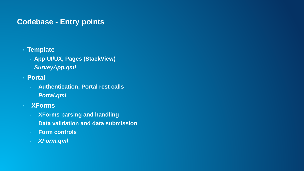## **Codebase - Entry points**

#### • **Template**

- **App UI/UX, Pages (StackView)**
- *SurveyApp.qml*
- **Portal**
	- **Authentication, Portal rest calls**
	- *Portal.qml*
- **XForms**
	- **XForms parsing and handling**
	- **Data validation and data submission**
	- **Form controls**
	- *XForm.qml*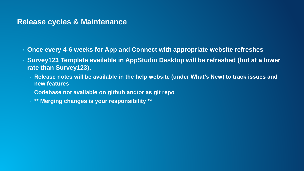## **Release cycles & Maintenance**

- **Once every 4-6 weeks for App and Connect with appropriate website refreshes**
- **Survey123 Template available in AppStudio Desktop will be refreshed (but at a lower rate than Survey123).**
	- **Release notes will be available in the help website (under What's New) to track issues and new features**
	- **Codebase not available on github and/or as git repo**
	- **\*\* Merging changes is your responsibility \*\***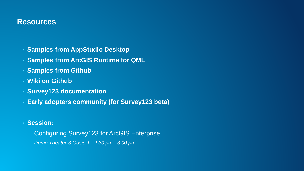## **Resources**

- **Samples from AppStudio Desktop**
- **Samples from ArcGIS Runtime for QML**
- **Samples from Github**
- **Wiki on Github**
- **Survey123 documentation**
- **Early adopters community (for Survey123 beta)**
- **Session:**

Configuring Survey123 for ArcGIS Enterprise *Demo Theater 3-Oasis 1 - 2:30 pm - 3:00 pm*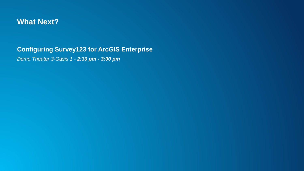

## **Configuring Survey123 for ArcGIS Enterprise**

*Demo Theater 3-Oasis 1 - 2:30 pm - 3:00 pm*